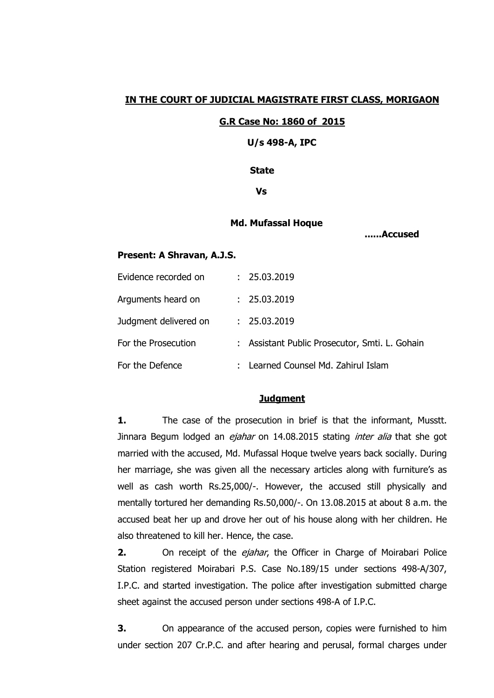## **IN THE COURT OF JUDICIAL MAGISTRATE FIRST CLASS, MORIGAON**

#### **G.R Case No: 1860 of 2015**

 **U/s 498-A, IPC**

 **State**

 **Vs**

#### **Md. Mufassal Hoque**

 **......Accused** 

#### **Present: A Shravan, A.J.S.**

| Evidence recorded on  | : 25.03.2019                                   |
|-----------------------|------------------------------------------------|
| Arguments heard on    | : 25.03.2019                                   |
| Judgment delivered on | : 25.03.2019                                   |
| For the Prosecution   | : Assistant Public Prosecutor, Smti. L. Gohain |
| For the Defence       | : Learned Counsel Md. Zahirul Islam            |

# **Judgment**

**1.** The case of the prosecution in brief is that the informant, Musstt. Jinnara Begum lodged an *ejahar* on 14.08.2015 stating *inter alia* that she got married with the accused, Md. Mufassal Hoque twelve years back socially. During her marriage, she was given all the necessary articles along with furniture's as well as cash worth Rs.25,000/-. However, the accused still physically and mentally tortured her demanding Rs.50,000/-. On 13.08.2015 at about 8 a.m. the accused beat her up and drove her out of his house along with her children. He also threatened to kill her. Hence, the case.

**2.** On receipt of the *ejahar*, the Officer in Charge of Moirabari Police Station registered Moirabari P.S. Case No.189/15 under sections 498-A/307, I.P.C. and started investigation. The police after investigation submitted charge sheet against the accused person under sections 498-A of I.P.C.

**3.** On appearance of the accused person, copies were furnished to him under section 207 Cr.P.C. and after hearing and perusal, formal charges under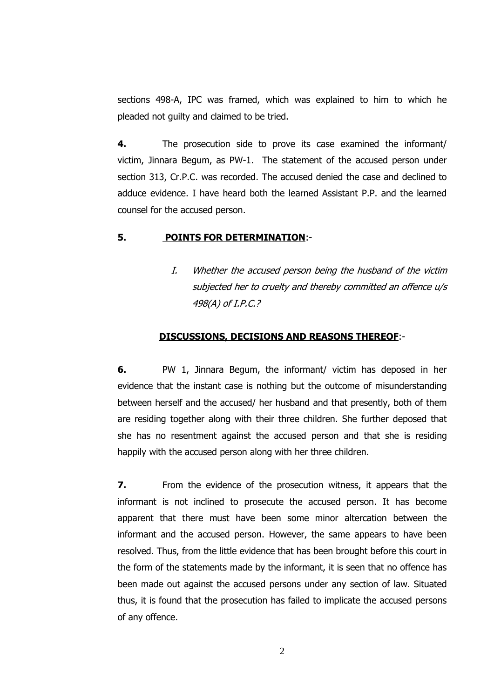sections 498-A, IPC was framed, which was explained to him to which he pleaded not guilty and claimed to be tried.

**4.** The prosecution side to prove its case examined the informant/ victim, Jinnara Begum, as PW-1. The statement of the accused person under section 313, Cr.P.C. was recorded. The accused denied the case and declined to adduce evidence. I have heard both the learned Assistant P.P. and the learned counsel for the accused person.

## **5. POINTS FOR DETERMINATION**:-

I. Whether the accused person being the husband of the victim subjected her to cruelty and thereby committed an offence u/s 498(A) of I.P.C.?

### **DISCUSSIONS, DECISIONS AND REASONS THEREOF**:-

**6.** PW 1, Jinnara Begum, the informant/ victim has deposed in her evidence that the instant case is nothing but the outcome of misunderstanding between herself and the accused/ her husband and that presently, both of them are residing together along with their three children. She further deposed that she has no resentment against the accused person and that she is residing happily with the accused person along with her three children.

**7.** From the evidence of the prosecution witness, it appears that the informant is not inclined to prosecute the accused person. It has become apparent that there must have been some minor altercation between the informant and the accused person. However, the same appears to have been resolved. Thus, from the little evidence that has been brought before this court in the form of the statements made by the informant, it is seen that no offence has been made out against the accused persons under any section of law. Situated thus, it is found that the prosecution has failed to implicate the accused persons of any offence.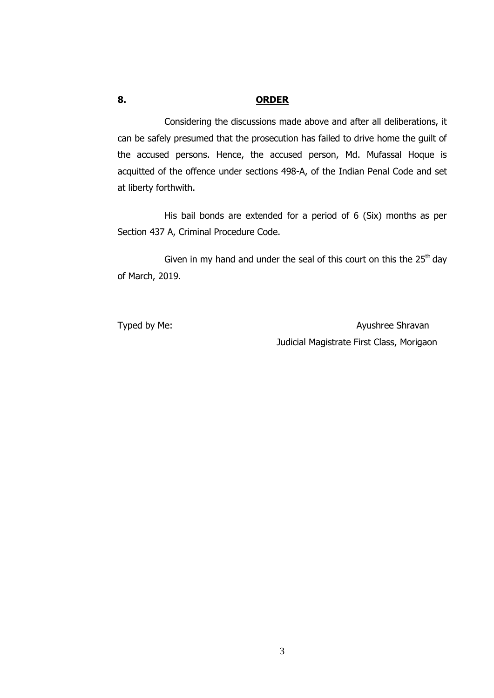# **8. ORDER**

Considering the discussions made above and after all deliberations, it can be safely presumed that the prosecution has failed to drive home the guilt of the accused persons. Hence, the accused person, Md. Mufassal Hoque is acquitted of the offence under sections 498-A, of the Indian Penal Code and set at liberty forthwith.

His bail bonds are extended for a period of 6 (Six) months as per Section 437 A, Criminal Procedure Code.

Given in my hand and under the seal of this court on this the  $25<sup>th</sup>$  day of March, 2019.

Typed by Me: Ayushree Shravan Judicial Magistrate First Class, Morigaon